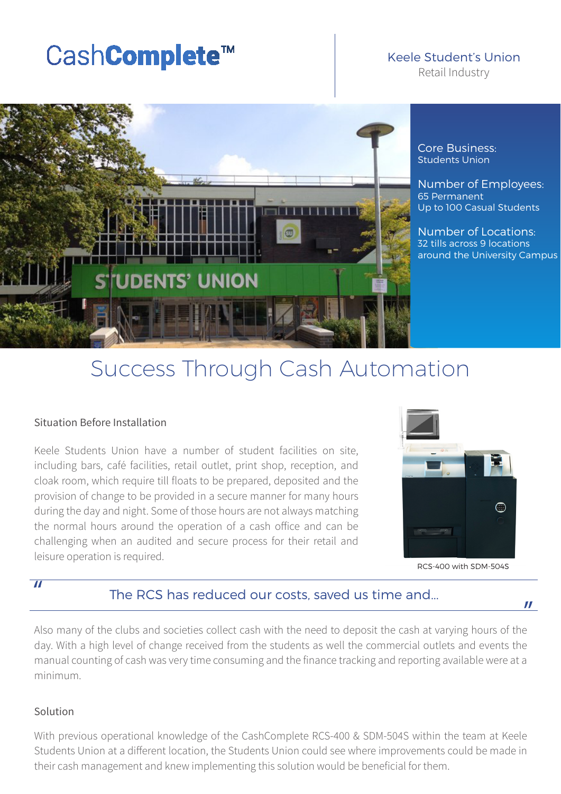# $\text{CashComplete}^{\text{TM}}$  Keele Student's U

## Keele Student's Union

DENTS' UNION

Core Business: Students Union

Number of Employees: 65 Permanent Up to 100 Casual Students

Number of Locations: 32 tills across 9 locations around the University Campus

# Success Through Cash Automation

#### Situation Before Installation

Keele Students Union have a number of student facilities on site, including bars, café facilities, retail outlet, print shop, reception, and cloak room, which require till floats to be prepared, deposited and the provision of change to be provided in a secure manner for many hours during the day and night. Some of those hours are not always matching the normal hours around the operation of a cash office and can be challenging when an audited and secure process for their retail and leisure operation is required.



RCS-400 with SDM-504S

"

#### $\overline{''}$

#### The RCS has reduced our costs, saved us time and...

Also many of the clubs and societies collect cash with the need to deposit the cash at varying hours of the day. With a high level of change received from the students as well the commercial outlets and events the manual counting of cash was very time consuming and the finance tracking and reporting available were at a minimum.

#### Solution

With previous operational knowledge of the CashComplete RCS-400 & SDM-504S within the team at Keele Students Union at a different location, the Students Union could see where improvements could be made in their cash management and knew implementing this solution would be beneficial for them.